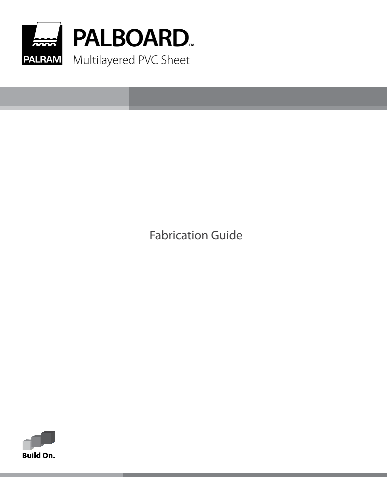

Fabrication Guide

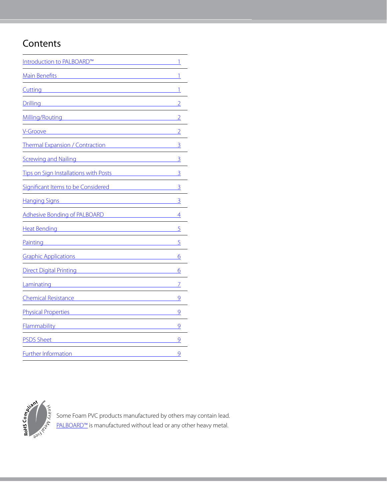# **Contents**

| Introduction to PALBOARD™                    | 1              |
|----------------------------------------------|----------------|
| <b>Main Benefits</b>                         | 1              |
| Cutting                                      | 1              |
| <b>Drilling</b>                              | $\overline{2}$ |
| Milling/Routing                              | 2              |
| V-Groove                                     | $\overline{2}$ |
| <b>Thermal Expansion / Contraction</b>       | $\overline{3}$ |
| <b>Screwing and Nailing</b>                  | 3              |
| <b>Tips on Sign Installations with Posts</b> | 3              |
| Significant Items to be Considered           | 3              |
| <b>Hanging Signs</b>                         | 3              |
| Adhesive Bonding of PALBOARD                 | 4              |
| <b>Heat Bending</b>                          | 5              |
| Painting                                     | 5              |
| <b>Graphic Applications</b>                  | 6              |
| <b>Direct Digital Printing</b>               | 6              |
| Laminating                                   | 7              |
| <b>Chemical Resistance</b>                   | 9              |
| <b>Physical Properties</b>                   | 9              |
| <b>Flammability</b>                          | 9              |
| <b>PSDS Sheet</b>                            | 9              |
| <b>Further Information</b>                   | 9              |



Some Foam PVC products manufactured by others may contain lead. [PALBOARD™](https://www.palramamericas.com/Products/Flat-Sheets/palboard/) is manufactured without lead or any other heavy metal.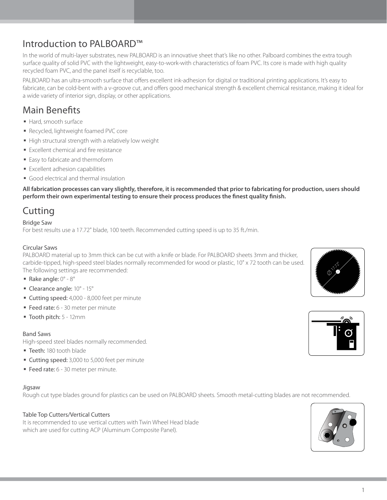## <span id="page-2-0"></span>Introduction to PALBOARD™

In the world of multi-layer substrates, new PALBOARD is an innovative sheet that's like no other. Palboard combines the extra tough surface quality of solid PVC with the lightweight, easy-to-work-with characteristics of foam PVC. Its core is made with high quality recycled foam PVC, and the panel itself is recyclable, too.

PALBOARD has an ultra-smooth surface that offers excellent ink-adhesion for digital or traditional printing applications. It's easy to fabricate, can be cold-bent with a v-groove cut, and offers good mechanical strength & excellent chemical resistance, making it ideal for a wide variety of interior sign, display, or other applications.

## <span id="page-2-1"></span>Main Benefits

- § Hard, smooth surface
- § Recycled, lightweight foamed PVC core
- High structural strength with a relatively low weight
- **Excellent chemical and fire resistance**
- Easy to fabricate and thermoform
- § Excellent adhesion capabilities
- § Good electrical and thermal insulation

**All fabrication processes can vary slightly, therefore, it is recommended that prior to fabricating for production, users should perform their own experimental testing to ensure their process produces the finest quality finish.** 

## <span id="page-2-2"></span>**Cutting**

### Bridge Saw

For best results use a 17.72" blade, 100 teeth. Recommended cutting speed is up to 35 ft./min.

### Circular Saws

PALBOARD material up to 3mm thick can be cut with a knife or blade. For PALBOARD sheets 3mm and thicker, carbide-tipped, high-speed steel blades normally recommended for wood or plastic, 10" x 72 tooth can be used. The following settings are recommended:

- Rake angle:  $0^\circ$   $8^\circ$
- § Clearance angle: 10° 15°
- Cutting speed: 4,000 8,000 feet per minute
- Feed rate: 6 30 meter per minute
- § Tooth pitch: 5 12mm

#### Band Saws

High-speed steel blades normally recommended.

- **Teeth: 180 tooth blade**
- Cutting speed: 3,000 to 5,000 feet per minute
- Feed rate: 6 30 meter per minute.

#### Jigsaw

Rough cut type blades ground for plastics can be used on PALBOARD sheets. Smooth metal-cutting blades are not recommended.

### Table Top Cutters/Vertical Cutters

It is recommended to use vertical cutters with Twin Wheel Head blade which are used for cutting ACP (Aluminum Composite Panel).





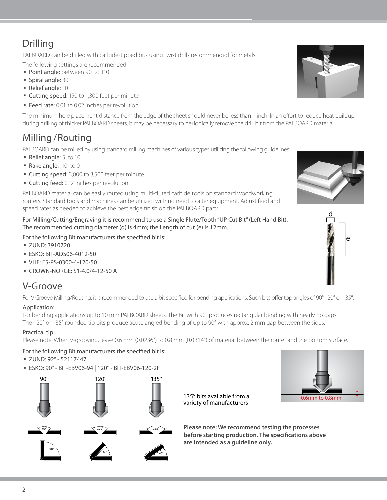# <span id="page-3-0"></span>Drilling

PALBOARD can be drilled with carbide-tipped bits using twist drills recommended for metals.

The following settings are recommended:

- Point angle: between 90 to 110
- § Spiral angle: 30
- § Relief angle: 10
- Cutting speed: 150 to 1,300 feet per minute
- Feed rate: 0.01 to 0.02 inches per revolution

The minimum hole placement distance from the edge of the sheet should never be less than 1 inch. In an effort to reduce heat buildup during drilling of thicker PALBOARD sheets, it may be necessary to periodically remove the drill bit from the PALBOARD material.

## <span id="page-3-1"></span>Milling / Routing

PALBOARD can be milled by using standard milling machines of various types utilizing the following guidelines:

- Relief angle: 5 to 10
- Rake angle: -10 to 0
- Cutting speed: 3,000 to 3,500 feet per minute
- Cutting feed: 0.12 inches per revolution

PALBOARD material can be easily routed using multi-fluted carbide tools on standard woodworking routers. Standard tools and machines can be utilized with no need to alter equipment. Adjust feed and speed rates as needed to achieve the best edge finish on the PALBOARD parts.

<span id="page-3-3"></span>For Milling/Cutting/Engraving it is recommend to use a Single Flute/Tooth "UP Cut Bit" (Left Hand Bit). The recommended cutting diameter (d) is 4mm; the Length of cut (e) is 12mm.

For the following Bit manufacturers the specified bit is:

- § ZUND: 3910720
- § ESKO: BIT-ADS06-4012-50
- § VHF: ES-PS-0300-4-120-50
- § CROWN-NORGE: S1-4.0/4-12-50 A

## <span id="page-3-2"></span>V-Groove

For V Groove Milling/Routing, it is recommended to use a bit specified for bending applications. Such bits offer top angles of 90°,120° or 135°.

## Application:

For bending applications up to 10 mm PALBOARD sheets. The Bit with 90° produces rectangular bending with nearly no gaps. The 120° or 135° rounded tip bits produce acute angled bending of up to 90° with approx. 2 mm gap between the sides.

## Practical tip:

Please note: When v-grooving, leave 0.6 mm (0.0236") to 0.8 mm (0.0314") of material between the router and the bottom surface.

### For the following Bit manufacturers the specified bit is:

- § ZUND: 92° 52117447
- § ESKO: 90° BIT-EBV06-94 | 120° BIT-EBV06-120-2F



0.6mm to 0.8mm

135° bits available from a variety of manufacturers

**Please note: We recommend testing the processes before starting production. The specifications above are intended as a guideline only.**





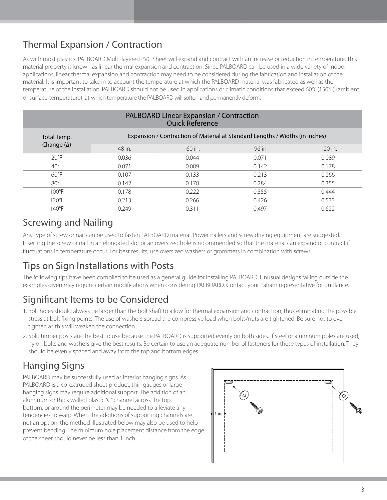# <span id="page-4-0"></span>Thermal Expansion / Contraction

As with most plastics, PALBOARD Multi-layered PVC Sheet will expand and contract with an increase or reduction in temperature. This material property is known as linear thermal expansion and contraction. Since PALBOARD can be used in a wide variety of indoor applications, linear thermal expansion and contraction may need to be considered during the fabrication and installation of the material. It is important to take in to account the temperature at which the PALBOARD material was fabricated as well as the temperature of the installation. PALBOARD should not be used in applications or climatic conditions that exceed 60°C(150°F) (ambient or surface temperature), at which temperature the PALBOARD will soften and permanently deform.

| <b>PALBOARD Linear Expansion / Contraction</b><br><b>Quick Reference</b> |                                                                              |          |        |           |  |
|--------------------------------------------------------------------------|------------------------------------------------------------------------------|----------|--------|-----------|--|
| Total Temp.                                                              | Expansion / Contraction of Material at Standard Lengths / Widths (in inches) |          |        |           |  |
| Change $(\Delta)$                                                        | 48 in.                                                                       | $60$ in. | 96 in. | $120$ in. |  |
| $20^{\circ}$ F                                                           | 0.036                                                                        | 0.044    | 0.071  | 0.089     |  |
| $40^{\circ}$ F                                                           | 0.071                                                                        | 0.089    | 0.142  | 0.178     |  |
| $60^{\circ}$ F                                                           | 0.107                                                                        | 0.133    | 0.213  | 0.266     |  |
| $80^{\circ}$ F                                                           | 0.142                                                                        | 0.178    | 0.284  | 0.355     |  |
| $100^{\circ}$ F                                                          | 0.178                                                                        | 0.222    | 0.355  | 0.444     |  |
| $120^{\circ}F$                                                           | 0.213                                                                        | 0.266    | 0.426  | 0.533     |  |
| 140°F                                                                    | 0.249                                                                        | 0.311    | 0.497  | 0.622     |  |

## Screwing and Nailing

Any type of screw or nail can be used to fasten PALBOARD material. Power nailers and screw driving equipment are suggested. Inserting the screw or nail in an elongated slot or an oversized hole is recommended so that the material can expand or contract if fluctuations in temperature occur. For best results, use oversized washers or grommets in combination with screws.

## <span id="page-4-1"></span>Tips on Sign Installations with Posts

The following tips have been compiled to be used as a general guide for installing PALBOARD. Unusual designs falling outside the examples given may require certain modifications when considering PALBOARD. Contact your Palram representative for guidance.

## <span id="page-4-2"></span>Significant Items to be Considered

- 1. Bolt holes should always be larger than the bolt shaft to allow for thermal expansion and contraction, thus eliminating the possible stress at bolt fixing points. The use of washers spread the compressive load when bolts/nuts are tightened. Be sure not to over tighten as this will weaken the connection.
- 2. Split timber posts are the best to use because the PALBOARD is supported evenly on both sides. If steel or aluminum poles are used, nylon bolts and washers give the best results. Be certain to use an adequate number of fasteners for these types of installation. They should be evenly spaced and away from the top and bottom edges.

# <span id="page-4-3"></span>Hanging Signs

PALBOARD may be successfully used as interior hanging signs. As PALBOARD is a co-extruded sheet product, thin gauges or large hanging signs may require additional support. The addition of an aluminum or thick walled plastic "C" channel across the top, bottom, or around the perimeter may be needed to alleviate any tendencies to warp. When the additions of supporting channels are not an option, the method illustrated below may also be used to help prevent bending. The minimum hole placement distance from the edge of the sheet should never be less than 1 inch.

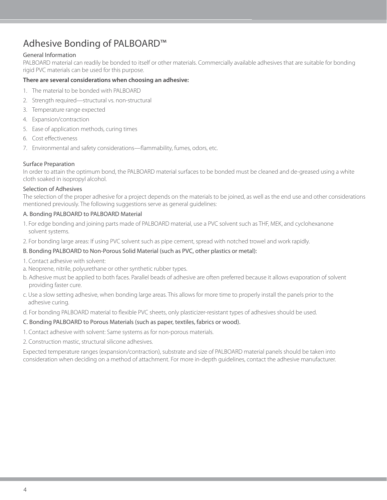## Adhesive Bonding of PALBOARD™

### General Information

PALBOARD material can readily be bonded to itself or other materials. Commercially available adhesives that are suitable for bonding rigid PVC materials can be used for this purpose.

#### **There are several considerations when choosing an adhesive:**

- 1. The material to be bonded with PALBOARD
- 2. Strength required—structural vs. non-structural
- 3. Temperature range expected
- 4. Expansion/contraction
- 5. Ease of application methods, curing times
- 6. Cost effectiveness
- 7. Environmental and safety considerations—flammability, fumes, odors, etc.

#### Surface Preparation

In order to attain the optimum bond, the PALBOARD material surfaces to be bonded must be cleaned and de-greased using a white cloth soaked in isopropyl alcohol.

#### Selection of Adhesives

The selection of the proper adhesive for a project depends on the materials to be joined, as well as the end use and other considerations mentioned previously. The following suggestions serve as general guidelines:

#### A. Bonding PALBOARD to PALBOARD Material

- 1. For edge bonding and joining parts made of PALBOARD material, use a PVC solvent such as THF, MEK, and cyclohexanone solvent systems.
- 2. For bonding large areas: If using PVC solvent such as pipe cement, spread with notched trowel and work rapidly.

### B. Bonding PALBOARD to Non-Porous Solid Material (such as PVC, other plastics or metal):

- 1. Contact adhesive with solvent:
- a. Neoprene, nitrile, polyurethane or other synthetic rubber types.
- b. Adhesive must be applied to both faces. Parallel beads of adhesive are often preferred because it allows evaporation of solvent providing faster cure.
- c. Use a slow setting adhesive, when bonding large areas. This allows for more time to properly install the panels prior to the adhesive curing.

d. For bonding PALBOARD material to flexible PVC sheets, only plasticizer-resistant types of adhesives should be used.

### C. Bonding PALBOARD to Porous Materials (such as paper, textiles, fabrics or wood).

- 1. Contact adhesive with solvent: Same systems as for non-porous materials.
- 2. Construction mastic, structural silicone adhesives.

<span id="page-5-0"></span>Expected temperature ranges (expansion/contraction), substrate and size of PALBOARD material panels should be taken into consideration when deciding on a method of attachment. For more in-depth guidelines, contact the adhesive manufacturer.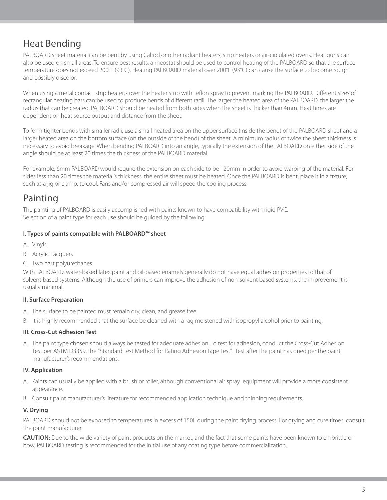## Heat Bending

PALBOARD sheet material can be bent by using Calrod or other radiant heaters, strip heaters or air-circulated ovens. Heat guns can also be used on small areas. To ensure best results, a rheostat should be used to control heating of the PALBOARD so that the surface temperature does not exceed 200°F (93°C). Heating PALBOARD material over 200°F (93°C) can cause the surface to become rough and possibly discolor.

When using a metal contact strip heater, cover the heater strip with Teflon spray to prevent marking the PALBOARD. Different sizes of rectangular heating bars can be used to produce bends of different radii. The larger the heated area of the PALBOARD, the larger the radius that can be created. PALBOARD should be heated from both sides when the sheet is thicker than 4mm. Heat times are dependent on heat source output and distance from the sheet.

To form tighter bends with smaller radii, use a small heated area on the upper surface (inside the bend) of the PALBOARD sheet and a larger heated area on the bottom surface (on the outside of the bend) of the sheet. A minimum radius of twice the sheet thickness is necessary to avoid breakage. When bending PALBOARD into an angle, typically the extension of the PALBOARD on either side of the angle should be at least 20 times the thickness of the PALBOARD material.

For example, 6mm PALBOARD would require the extension on each side to be 120mm in order to avoid warping of the material. For sides less than 20 times the material's thickness, the entire sheet must be heated. Once the PALBOARD is bent, place it in a fixture, such as a jig or clamp, to cool. Fans and/or compressed air will speed the cooling process.

## <span id="page-6-0"></span>Painting

The painting of PALBOARD is easily accomplished with paints known to have compatibility with rigid PVC. Selection of a paint type for each use should be guided by the following:

## **I. Types of paints compatible with PALBOARD™ sheet**

- A. Vinyls
- B. Acrylic Lacquers
- C. Two part polyurethanes

With PALBOARD, water-based latex paint and oil-based enamels generally do not have equal adhesion properties to that of solvent based systems. Although the use of primers can improve the adhesion of non-solvent based systems, the improvement is usually minimal.

## **II. Surface Preparation**

- A. The surface to be painted must remain dry, clean, and grease free.
- B. It is highly recommended that the surface be cleaned with a rag moistened with isopropyl alcohol prior to painting.

### **III. Cross-Cut Adhesion Test**

A. The paint type chosen should always be tested for adequate adhesion. To test for adhesion, conduct the Cross-Cut Adhesion Test per ASTM D3359, the "Standard Test Method for Rating Adhesion Tape Test". Test after the paint has dried per the paint manufacturer's recommendations.

## **IV. Application**

- A. Paints can usually be applied with a brush or roller, although conventional air spray equipment will provide a more consistent appearance.
- B. Consult paint manufacturer's literature for recommended application technique and thinning requirements.

## **V. Drying**

PALBOARD should not be exposed to temperatures in excess of 150F during the paint drying process. For drying and cure times, consult the paint manufacturer.

**CAUTION:** Due to the wide variety of paint products on the market, and the fact that some paints have been known to embrittle or bow, PALBOARD testing is recommended for the initial use of any coating type before commercialization.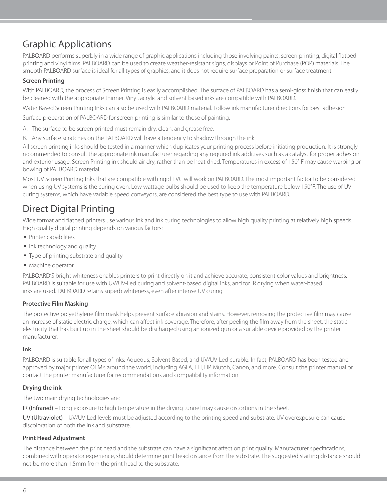## <span id="page-7-0"></span>Graphic Applications

PALBOARD performs superbly in a wide range of graphic applications including those involving paints, screen printing, digital flatbed printing and vinyl films. PALBOARD can be used to create weather-resistant signs, displays or Point of Purchase (POP) materials. The smooth PALBOARD surface is ideal for all types of graphics, and it does not require surface preparation or surface treatment.

### **Screen Printing**

With PALBOARD, the process of Screen Printing is easily accomplished. The surface of PALBOARD has a semi-gloss finish that can easily be cleaned with the appropriate thinner. Vinyl, acrylic and solvent based inks are compatible with PALBOARD.

Water Based Screen Printing Inks can also be used with PALBOARD material. Follow ink manufacturer directions for best adhesion

Surface preparation of PALBOARD for screen printing is similar to those of painting.

- A. The surface to be screen printed must remain dry, clean, and grease free.
- B. Any surface scratches on the PALBOARD will have a tendency to shadow through the ink.

All screen printing inks should be tested in a manner which duplicates your printing process before initiating production. It is strongly recommended to consult the appropriate ink manufacturer regarding any required ink additives such as a catalyst for proper adhesion and exterior usage. Screen Printing ink should air dry, rather than be heat dried. Temperatures in excess of 150° F may cause warping or bowing of PALBOARD material.

Most UV Screen Printing Inks that are compatible with rigid PVC will work on PALBOARD. The most important factor to be considered when using UV systems is the curing oven. Low wattage bulbs should be used to keep the temperature below 150°F. The use of UV curing systems, which have variable speed conveyors, are considered the best type to use with PALBOARD.

## <span id="page-7-1"></span>Direct Digital Printing

Wide format and flatbed printers use various ink and ink curing technologies to allow high quality printing at relatively high speeds. High quality digital printing depends on various factors:

- § Printer capabilities
- Ink technology and quality
- § Type of printing substrate and quality
- Machine operator

PALBOARD'S bright whiteness enables printers to print directly on it and achieve accurate, consistent color values and brightness. PALBOARD is suitable for use with UV/UV-Led curing and solvent-based digital inks, and for IR drying when water-based inks are used. PALBOARD retains superb whiteness, even after intense UV curing.

### **Protective Film Masking**

The protective polyethylene film mask helps prevent surface abrasion and stains. However, removing the protective film may cause an increase of static electric charge, which can affect ink coverage. Therefore, after peeling the film away from the sheet, the static electricity that has built up in the sheet should be discharged using an ionized gun or a suitable device provided by the printer manufacturer.

#### **Ink**

PALBOARD is suitable for all types of inks: Aqueous, Solvent-Based, and UV/UV-Led curable. In fact, PALBOARD has been tested and approved by major printer OEM's around the world, including AGFA, EFI, HP, Mutoh, Canon, and more. Consult the printer manual or contact the printer manufacturer for recommendations and compatibility information.

### **Drying the ink**

The two main drying technologies are:

IR (Infrared) – Long exposure to high temperature in the drying tunnel may cause distortions in the sheet.

UV (Ultraviolet) – UV/UV-Led levels must be adjusted according to the printing speed and substrate. UV overexposure can cause discoloration of both the ink and substrate.

### **Print Head Adjustment**

The distance between the print head and the substrate can have a significant affect on print quality. Manufacturer specifications, combined with operator experience, should determine print head distance from the substrate. The suggested starting distance should not be more than 1.5mm from the print head to the substrate.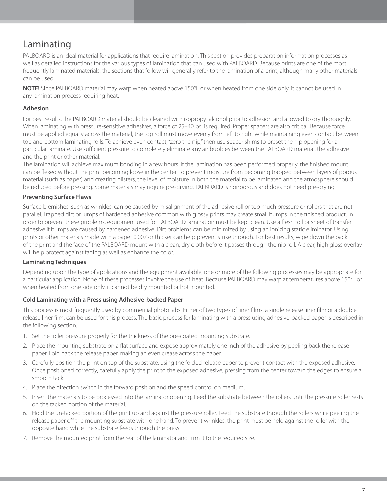## <span id="page-8-0"></span>Laminating

PALBOARD is an ideal material for applications that require lamination. This section provides preparation information processes as well as detailed instructions for the various types of lamination that can used with PALBOARD. Because prints are one of the most frequently laminated materials, the sections that follow will generally refer to the lamination of a print, although many other materials can be used.

**NOTE!** Since PALBOARD material may warp when heated above 150°F or when heated from one side only, it cannot be used in any lamination process requiring heat.

### **Adhesion**

For best results, the PALBOARD material should be cleaned with isopropyl alcohol prior to adhesion and allowed to dry thoroughly. When laminating with pressure-sensitive adhesives, a force of 25–40 psi is required. Proper spacers are also critical. Because force must be applied equally across the material, the top roll must move evenly from left to right while maintaining even contact between top and bottom laminating rolls. To achieve even contact, "zero the nip," then use spacer shims to preset the nip opening for a particular laminate. Use sufficient pressure to completely eliminate any air bubbles between the PALBOARD material, the adhesive and the print or other material.

The lamination will achieve maximum bonding in a few hours. If the lamination has been performed properly, the finished mount can be flexed without the print becoming loose in the center. To prevent moisture from becoming trapped between layers of porous material (such as paper) and creating blisters, the level of moisture in both the material to be laminated and the atmosphere should be reduced before pressing. Some materials may require pre-drying. PALBOARD is nonporous and does not need pre-drying.

### **Preventing Surface Flaws**

Surface blemishes, such as wrinkles, can be caused by misalignment of the adhesive roll or too much pressure or rollers that are not parallel. Trapped dirt or lumps of hardened adhesive common with glossy prints may create small bumps in the finished product. In order to prevent these problems, equipment used for PALBOARD lamination must be kept clean. Use a fresh roll or sheet of transfer adhesive if bumps are caused by hardened adhesive. Dirt problems can be minimized by using an ionizing static eliminator. Using prints or other materials made with a paper 0.007 or thicker can help prevent strike through. For best results, wipe down the back of the print and the face of the PALBOARD mount with a clean, dry cloth before it passes through the nip roll. A clear, high gloss overlay will help protect against fading as well as enhance the color.

### **Laminating Techniques**

Depending upon the type of applications and the equipment available, one or more of the following processes may be appropriate for a particular application. None of these processes involve the use of heat. Because PALBOARD may warp at temperatures above 150°F or when heated from one side only, it cannot be dry mounted or hot mounted.

### **Cold Laminating with a Press using Adhesive-backed Paper**

This process is most frequently used by commercial photo labs. Either of two types of liner films, a single release liner film or a double release liner film, can be used for this process. The basic process for laminating with a press using adhesive-backed paper is described in the following section.

- 1. Set the roller pressure properly for the thickness of the pre-coated mounting substrate.
- 2. Place the mounting substrate on a flat surface and expose approximately one inch of the adhesive by peeling back the release paper. Fold back the release paper, making an even crease across the paper.
- 3. Carefully position the print on top of the substrate, using the folded release paper to prevent contact with the exposed adhesive. Once positioned correctly, carefully apply the print to the exposed adhesive, pressing from the center toward the edges to ensure a smooth tack.
- 4. Place the direction switch in the forward position and the speed control on medium.
- 5. Insert the materials to be processed into the laminator opening. Feed the substrate between the rollers until the pressure roller rests on the tacked portion of the material.
- 6. Hold the un-tacked portion of the print up and against the pressure roller. Feed the substrate through the rollers while peeling the release paper off the mounting substrate with one hand. To prevent wrinkles, the print must be held against the roller with the opposite hand while the substrate feeds through the press.
- 7. Remove the mounted print from the rear of the laminator and trim it to the required size.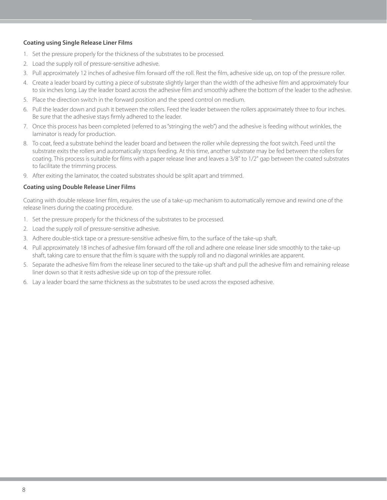### **Coating using Single Release Liner Films**

- 1. Set the pressure properly for the thickness of the substrates to be processed.
- 2. Load the supply roll of pressure-sensitive adhesive.
- 3. Pull approximately 12 inches of adhesive film forward off the roll. Rest the film, adhesive side up, on top of the pressure roller.
- 4. Create a leader board by cutting a piece of substrate slightly larger than the width of the adhesive film and approximately four to six inches long. Lay the leader board across the adhesive film and smoothly adhere the bottom of the leader to the adhesive.
- 5. Place the direction switch in the forward position and the speed control on medium.
- 6. Pull the leader down and push it between the rollers. Feed the leader between the rollers approximately three to four inches. Be sure that the adhesive stays firmly adhered to the leader.
- 7. Once this process has been completed (referred to as "stringing the web") and the adhesive is feeding without wrinkles, the laminator is ready for production.
- 8. To coat, feed a substrate behind the leader board and between the roller while depressing the foot switch. Feed until the substrate exits the rollers and automatically stops feeding. At this time, another substrate may be fed between the rollers for coating. This process is suitable for films with a paper release liner and leaves a 3/8" to 1/2" gap between the coated substrates to facilitate the trimming process.
- 9. After exiting the laminator, the coated substrates should be split apart and trimmed.

#### **Coating using Double Release Liner Films**

Coating with double release liner film, requires the use of a take-up mechanism to automatically remove and rewind one of the release liners during the coating procedure.

- 1. Set the pressure properly for the thickness of the substrates to be processed.
- 2. Load the supply roll of pressure-sensitive adhesive.
- 3. Adhere double-stick tape or a pressure-sensitive adhesive film, to the surface of the take-up shaft.
- 4. Pull approximately 18 inches of adhesive film forward off the roll and adhere one release liner side smoothly to the take-up shaft, taking care to ensure that the film is square with the supply roll and no diagonal wrinkles are apparent.
- 5. Separate the adhesive film from the release liner secured to the take-up shaft and pull the adhesive film and remaining release liner down so that it rests adhesive side up on top of the pressure roller.
- 6. Lay a leader board the same thickness as the substrates to be used across the exposed adhesive.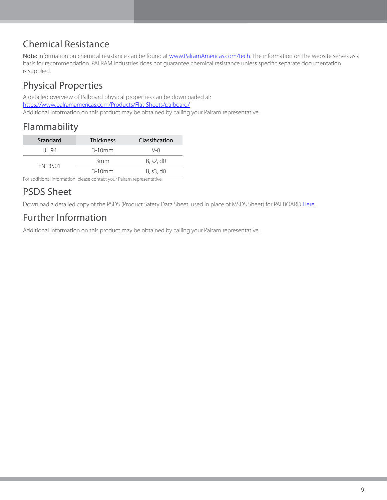## <span id="page-10-0"></span>Chemical Resistance

Note: Information on chemical resistance can be found at [www.PalramAmericas.com/tech.](https://www.palramamericas.com/Tech/) The information on the website serves as a basis for recommendation. PALRAM Industries does not guarantee chemical resistance unless specific separate documentation is supplied.

# <span id="page-10-1"></span>Physical Properties

A detailed overview of Palboard physical properties can be downloaded at: <https://www.palramamericas.com/Products/Flat-Sheets/palboard/> Additional information on this product may be obtained by calling your Palram representative.

## <span id="page-10-2"></span>Flammability

| Standard | <b>Thickness</b> | Classification |
|----------|------------------|----------------|
| l II-94  | $3-10$ mm        | V-0            |
| EN13501  | 3 <sub>mm</sub>  | B, s2, d0      |
|          | $3-10$ mm        | B, s3, d0      |

For additional information, please contact your Palram representative.

## <span id="page-10-3"></span>PSDS Sheet

Download a detailed copy of the PSDS (Product Safety Data Sheet, used in place of MSDS Sheet) for PALBOARD [Here.](https://www.palramamericas.com/Products/Flat-Sheets/palboard/)

# <span id="page-10-4"></span>Further Information

Additional information on this product may be obtained by calling your Palram representative.